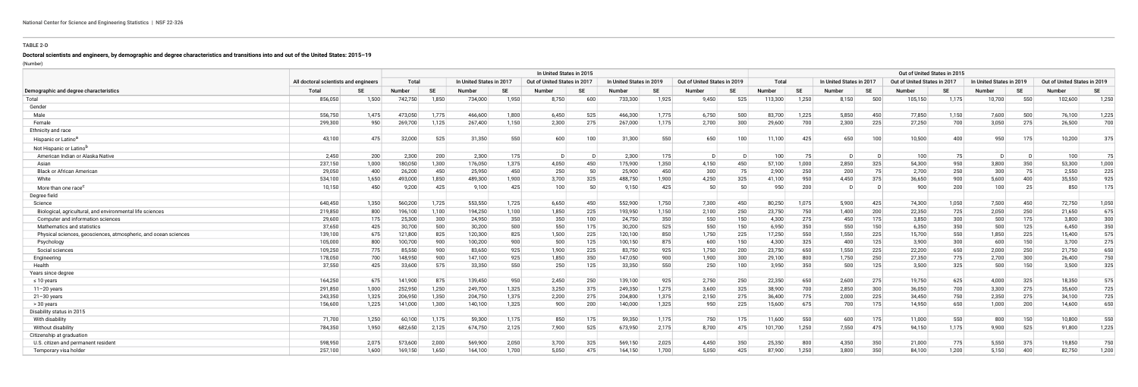## **TABLE 2-D**

## **Doctoral scientists and engineers, by demographic and degree characteristics and transitions into and out of the United States: 2015–19**

(Number)

|                                                                 |                                       |       | In United States in 2015 |       |                         |           |                             |           |                          |          |                              |     |               | Out of United States in 2015 |                          |           |                              |       |                          |           |                              |           |  |
|-----------------------------------------------------------------|---------------------------------------|-------|--------------------------|-------|-------------------------|-----------|-----------------------------|-----------|--------------------------|----------|------------------------------|-----|---------------|------------------------------|--------------------------|-----------|------------------------------|-------|--------------------------|-----------|------------------------------|-----------|--|
|                                                                 | All doctoral scientists and engineers |       | Total                    |       | In United States in 201 |           | Out of United States in 201 |           | In United States in 2019 |          | Out of United States in 2019 |     | Total         |                              | In United States in 2017 |           | Out of United States in 2017 |       | In United States in 2019 |           | Out of United States in 2019 |           |  |
| Demographic and degree characteristics                          | Total                                 |       | Number                   | SE    | <b>Number</b>           | <b>SE</b> | Number                      | <b>SE</b> | Number                   |          | Number                       |     | <b>Number</b> | -SE                          | Number                   | <b>SE</b> | <b>Number</b>                | SE    | Number                   | <b>SE</b> | <b>Number</b>                | <b>SE</b> |  |
| Total                                                           | 856,050                               | 1,500 | 742,750                  | 1,850 | 734,000                 | 1,950     | 8,750                       | 600       | 733,300                  | 1,925    | 9,450                        | 525 | 113,300       | 1,250                        | 8,150                    | 500       | 105,150                      | 1,175 | 10,700                   | 550       | 102,600                      | 1,250     |  |
| Gender                                                          |                                       |       |                          |       |                         |           |                             |           |                          |          |                              |     |               |                              |                          |           |                              |       |                          |           |                              |           |  |
| Male                                                            | 556,750                               | 1.475 | 473,050                  | 1.775 | 466,600                 | 1,800     | 6,450                       | 525       | 466,300                  | 1,775    | 6,750                        | 500 | 83,700        | 1,225                        | 5,850                    | 450       | 77,850                       | 1,150 | 7,600                    | 500       | 76,100                       | 1,225     |  |
| Female                                                          | 299,300                               | 950   | 269,700                  | 1.125 | 267,400                 | 1,150     | 2,300                       | 275       | 267,000                  | 1,175    | 2,700                        | 300 | 29,600        | 700                          | 2,300                    | 225       | 27,250                       | 700   | 3,050                    | 275       | 26,500                       | 700       |  |
| Ethnicity and race                                              |                                       |       |                          |       |                         |           |                             |           |                          |          |                              |     |               |                              |                          |           |                              |       |                          |           |                              |           |  |
| Hispanic or Latino <sup>a</sup>                                 | 43,100                                | 475   | 32,000                   | 525   | 31,350                  | 550       | 600                         | 100       | 31,300                   | 550      | 650                          | 100 | 11,100        | 425                          | 650                      | 100       | 10,500                       | 400   | 950                      | 175       | 10,200                       | 375       |  |
| Not Hispanic or Latino <sup>r</sup>                             |                                       |       |                          |       |                         |           |                             |           |                          |          |                              |     |               |                              |                          |           |                              |       |                          |           |                              |           |  |
| American Indian or Alaska Native                                | 2,450                                 | 200   | 2,300                    | 200   | 2,300                   | 175       |                             |           | 2,300                    | 175      |                              |     | 100           | 75                           | - D                      |           | 100                          | 75    |                          |           | 100                          | 75        |  |
| Asian                                                           | 237,150                               | 1,000 | 180,050                  | 1,300 | 176,050                 | 1,375     | 4,050                       | 450       | 175,900                  | 1,350    | 4,150                        | 450 | 57,100        | 1,000                        | 2,850                    | 325       | 54,300                       | 950   | 3,800                    | 350       | 53,300                       | 1,000     |  |
| <b>Black or African American</b>                                | 29,050                                | 400   | 26,200                   | 450   | 25,950                  | 450       | 250                         | 50        | 25,900                   | 450      | 300                          | 75  | 2,900         | 250                          | 200                      | 75        | 2,700                        | 250   | 300                      | 75        | 2,550                        | 225       |  |
| White                                                           | 534,100                               | 1,650 | 493,000                  | 1,850 | 489,300                 | 1,900     | 3,700                       | 325       | 488,750                  | ∣ 900, 1 | 4,250                        | 325 | 41,100        | 950                          | 4,450                    | 375       | 36,650                       | 900   | 5.600                    | 400       | 35,550                       | 925       |  |
| More than one race <sup>c</sup>                                 | 10,150                                | 450   | 9,200                    | 425   | 9,100                   | 425       | 100                         | 50        | 9,150                    | 425      | 50                           | 50  | 950           | 200                          | D                        |           | 900                          | 200   | 100                      | 25        | 850                          | 175       |  |
| Degree field                                                    |                                       |       |                          |       |                         |           |                             |           |                          |          |                              |     |               |                              |                          |           |                              |       |                          |           |                              |           |  |
| Science                                                         | 640,450                               | 1,350 | 560,200                  | 1,725 | 553,550                 | 1,725     | 6,650                       | 450       | 552,900                  | 1,750    | 7,300                        | 450 | 80,250        | 1,075                        | 5,900                    | 425       | 74,300                       | 1,050 | 7,500                    | 450       | 72,750                       | 1,050     |  |
| Biological, agricultural, and environmental life sciences       | 219,850                               | 800   | 196,100                  | 1,100 | 194,250                 | 1,100     | 1,850                       | 225       | 193,950                  | 1,150    | 2,100                        | 250 | 23,750        | 750                          | 1,400                    | 200       | 22,350                       | 725   | 2,050                    | 250       | 21,650                       | 675       |  |
| Computer and information sciences                               | 29,600                                | 175   | 25,300                   | 300   | 24,950                  | 350       | 350                         | 100       | 24,750                   | 350      | 550                          | 150 | 4,300         | 275                          | 450                      | 175       | 3,850                        | 300   | 500                      | 175       | 3,800                        | 300       |  |
| Mathematics and statistics                                      | 37,650                                | 425   | 30,700                   | 500   | 30,200                  | 500       | 550                         | 175       | 30,200                   | 525      | 550                          | 150 | 6,950         | 350                          | 550                      | 150       | 6,350                        | 350   | 500                      | 125       | 6,450                        | 350       |  |
| Physical sciences, geosciences, atmospheric, and ocean sciences | 139,100                               | 675   | 121,800                  | 825   | 120,300                 | 825       | 1,500                       | 225       | 120,100                  | 850      | 1,750                        | 225 | 17,250        | 550                          | 1,550                    | 225       | 15,700                       | 550   | 1,850                    | 225       | 15,400                       | 575       |  |
| Psychology                                                      | 105,000                               | 800   | 100,700                  | 900   | 100,200                 | 900       | 500                         | 125       | 100,150                  | 875      | 600                          | 150 | 4,300         | 325                          | 400                      | 125       | 3,900                        | 300   | 600                      | 150       | 3,700                        | 275       |  |
| Social sciences                                                 | 109,250                               | 775   | 85,550                   | 900   | 83,650                  | 925       | 1,900                       | 225       | 83,750                   | 925      | 1,750                        | 200 | 23,750        | 650                          | 1,550                    | 225       | 22,200                       | 650   | 2,000                    | 250       | 21,750                       | 650       |  |
| Engineering                                                     | 178,050                               | 700   | 148,950                  | 900   | 147,100                 | 925       | 1,850                       | 350       | 147,050                  | 900      | 1,900                        | 300 | 29,100        | 800                          | 1,750                    | 250       | 27,350                       | 775   | 2,700                    | 300       | 26,400                       | 750       |  |
| Health                                                          | 37,550                                | 425   | 33,600                   | 575   | 33,350                  | 550       | 250                         | 125       | 33,350                   | 550      | 250                          | 100 | 3,950         | 350                          | 500                      | 125       | 3,500                        | 325   | 500                      | 150       | 3,500                        | 325       |  |
| Years since degree                                              |                                       |       |                          |       |                         |           |                             |           |                          |          |                              |     |               |                              |                          |           |                              |       |                          |           |                              |           |  |
| $\leq 10$ years                                                 | 164,250                               | 675   | 141,900                  | 875   | 139,450                 | 950       | 2,450                       | 250       | 139,100                  | 925      | 2,750                        | 250 | 22,350        | 650                          | 2,600                    | 275       | 19,750                       | 625   | 4,000                    | 325       | 18,350                       | 575       |  |
| $11 - 20$ years                                                 | 291,850                               | 1,000 | 252,950                  | 1,250 | 249,700                 | 1,325     | 3,250                       | 375       | 249,350                  | 1,275    | 3,600                        | 325 | 38,900        | 700                          | 2,850                    | 300       | 36,050                       | 700   | 3,300                    | 275       | 35,600                       | 725       |  |
| $21 - 30$ years                                                 | 243,350                               | 1,325 | 206,950                  | 1,350 | 204,750                 | 1,375     | 2,200                       | 275       | 204,800                  | 1,375    | 2,150                        | 275 | 36,400        | 775                          | 2,000                    | 225       | 34,450                       | 750   | 2,350                    | 275       | 34,100                       | 725       |  |
| > 30 years                                                      | 156,600                               | 1,225 | 141,000                  | 1,300 | 140,100                 | 1,325     | 900                         | 200       | 140,000                  | 1,325    | 950                          | 225 | 15,600        | 675                          | 700                      | 175       | 14,950                       | 650   | 1,000                    | 200       | 14,600                       | 650       |  |
| Disability status in 2015                                       |                                       |       |                          |       |                         |           |                             |           |                          |          |                              |     |               |                              |                          |           |                              |       |                          |           |                              |           |  |
| With disabilit                                                  | 71,700                                | 1,250 | 60,100                   | 1,175 | 59,300                  | 1,175     | 850                         | 175       | 59,350                   | 1,175    | 750                          | 175 | 11,600        | 550                          | 600                      | 175       | 11,000                       | 550   | 800                      | 150       | 10,800                       | 550       |  |
| Without disability                                              | 784,350                               | 1,950 | 682,650                  | 2,125 | 674,750                 | 2,125     | 7,900                       | 525       | 673,950                  | 2,175    | 8,700                        | 475 | 101,700       | 1,250                        | 7,550                    | 475       | 94,150                       | 1,175 | 9,900                    | 525       | 91,800                       | 1,225     |  |
| Citizenship at graduation                                       |                                       |       |                          |       |                         |           |                             |           |                          |          |                              |     |               |                              |                          |           |                              |       |                          |           |                              |           |  |
| U.S. citizen and permanent resident                             | 598,950                               | 2,075 | 573,600                  | 2,000 | 569,900                 | 2,050     | 3,700                       | 325       | 569,150                  | 2,025    | 4,450                        | 350 | 25,350        | 800                          | 4,350                    | 350       | 21,000                       | 775   | 5,550                    | 375       | 19,850                       | 750       |  |
| Temporary visa holder                                           | 257,100                               | 1,600 | 169,150                  | 1,650 | 164,100                 | 1,700     | 5,050                       | 475       | 164,150                  | 1,700    | 5,050                        | 425 | 87,900        | 1,250                        | 3,800                    | 350       | 84,100                       | 1,200 | 5,150                    | 400       | 82,750                       | 1,200     |  |